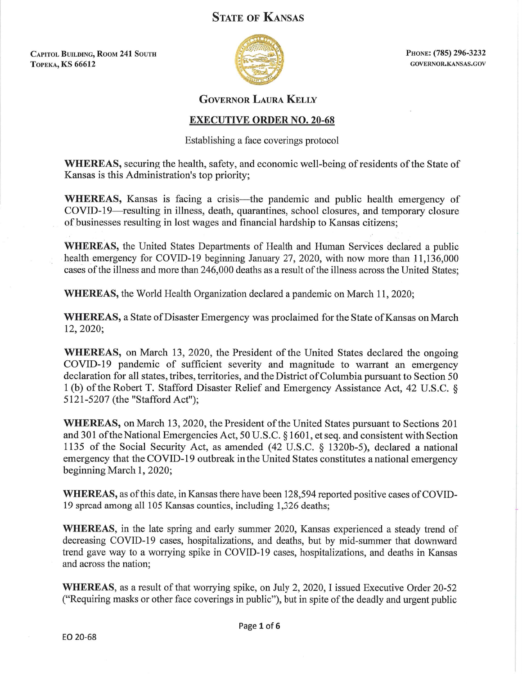## **STATE OF KANSAS**

**CAPITOL BUILDING, ROOM 241 SOUTH ТОРЕКА, KS 66612** 



PHONE: (785) 296-3232 GOVERNOR.KANSAS.GOV

## **GOVERNOR LAURA KELLY**

## **EXECUTIVE ORDER NO. 20-68**

Establishing a face coverings protocol

**WHEREAS**, securing the health, safety, and economic well-being of residents of the State of Kansas is this Administration's top priority;

WHEREAS, Kansas is facing a crisis—the pandemic and public health emergency of COVID-19—resulting in illness, death, quarantines, school closures, and temporary closure of businesses resulting in lost wages and financial hardship to Kansas citizens:

**WHEREAS**, the United States Departments of Health and Human Services declared a public health emergency for COVID-19 beginning January 27, 2020, with now more than 11,136,000 cases of the illness and more than 246,000 deaths as a result of the illness across the United States;

**WHEREAS, the World Health Organization declared a pandemic on March 11, 2020;** 

**WHEREAS, a State of Disaster Emergency was proclaimed for the State of Kansas on March** 12, 2020;

WHEREAS, on March 13, 2020, the President of the United States declared the ongoing COVID-19 pandemic of sufficient severity and magnitude to warrant an emergency declaration for all states, tribes, territories, and the District of Columbia pursuant to Section 50 1(b) of the Robert T. Stafford Disaster Relief and Emergency Assistance Act, 42 U.S.C. § 5121-5207 (the "Stafford Act");

**WHEREAS, on March 13, 2020, the President of the United States pursuant to Sections 201** and 301 of the National Emergencies Act, 50 U.S.C. § 1601, et seq. and consistent with Section 1135 of the Social Security Act, as amended (42 U.S.C. § 1320b-5), declared a national emergency that the COVID-19 outbreak in the United States constitutes a national emergency beginning March 1, 2020;

WHEREAS, as of this date, in Kansas there have been 128,594 reported positive cases of COVID-19 spread among all 105 Kansas counties, including 1,326 deaths;

WHEREAS, in the late spring and early summer 2020, Kansas experienced a steady trend of decreasing COVID-19 cases, hospitalizations, and deaths, but by mid-summer that downward trend gave way to a worrying spike in COVID-19 cases, hospitalizations, and deaths in Kansas and across the nation:

WHEREAS, as a result of that worrying spike, on July 2, 2020, I issued Executive Order 20-52 ("Requiring masks or other face coverings in public"), but in spite of the deadly and urgent public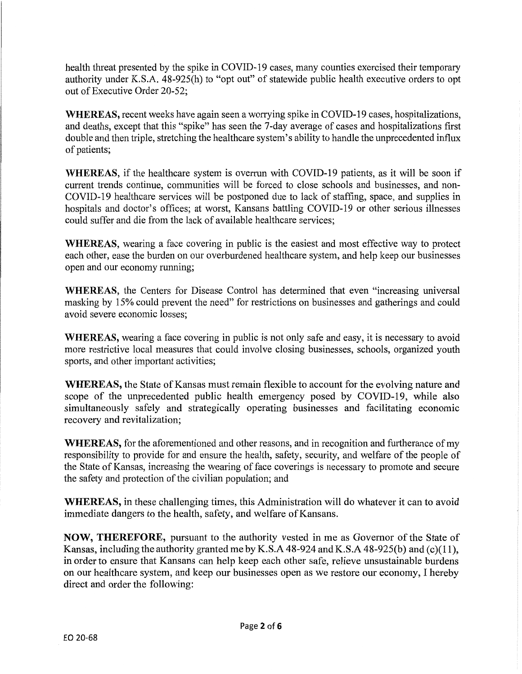health threat presented by the spike in COVID-19 cases, many counties exercised their temporary authority under K.S.A. 48-925(h) to "opt out" of statewide public health executive orders to opt out of Executive Order 20-52;

WHEREAS, recent weeks have again seen a worrying spike in COVID-19 cases, hospitalizations, and deaths, except that this "spike" has seen the 7-day average of cases and hospitalizations first double and then triple, stretching the healthcare system's ability to handle the unprecedented influx of patients;

**WHEREAS**, if the healthcare system is overrun with COVID-19 patients, as it will be soon if current trends continue, communities will be forced to close schools and businesses, and non-COVID-19 healthcare services will be postponed due to lack of staffing, space, and supplies in hospitals and doctor's offices; at worst, Kansans battling COVID-19 or other serious illnesses could suffer and die from the lack of available healthcare services;

**WHEREAS**, wearing a face covering in public is the easiest and most effective way to protect each other, ease the burden on our overburdened healthcare system, and help keep our businesses open and our economy running;

**WHEREAS**, the Centers for Disease Control has determined that even "increasing universal masking by 15% could prevent the need" for restrictions on businesses and gatherings and could avoid severe economic losses;

**WHEREAS**, wearing a face covering in public is not only safe and easy, it is necessary to avoid more restrictive local measures that could involve closing businesses, schools, organized youth sports, and other important activities;

WHEREAS, the State of Kansas must remain flexible to account for the evolving nature and scope of the unprecedented public health emergency posed by COVID-19, while also simultaneously safely and strategically operating businesses and facilitating economic recovery and revitalization;

**WHEREAS**, for the aforementioned and other reasons, and in recognition and furtherance of my responsibility to provide for and ensure the health, safety, security, and welfare of the people of the State of Kansas, increasing the wearing of face coverings is necessary to promote and secure the safety and protection of the civilian population; and

**WHEREAS**, in these challenging times, this Administration will do whatever it can to avoid immediate dangers to the health, safety, and welfare of Kansans.

**NOW, THEREFORE,** pursuant to the authority vested in me as Governor of the State of Kansas, including the authority granted me by K.S.A 48-924 and K.S.A 48-925(b) and (c)(11), in order to ensure that Kansans can help keep each other safe, relieve unsustainable burdens on our healthcare system, and keep our businesses open as we restore our economy, I hereby direct and order the following: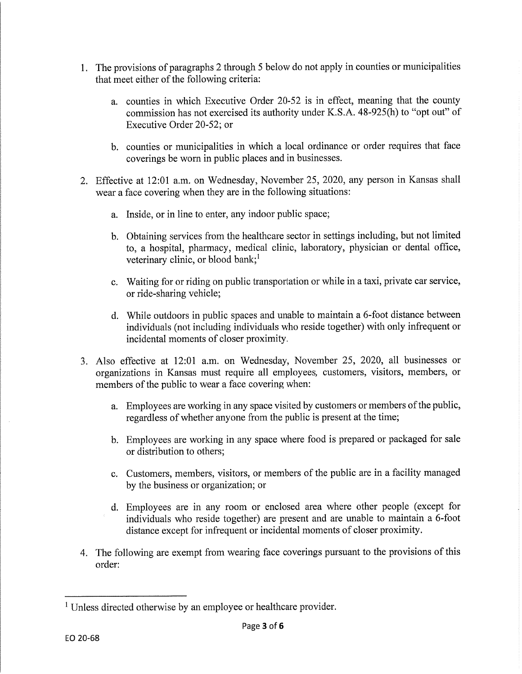- 1. The provisions of paragraphs 2 through 5 below do not apply in counties or municipalities that meet either of the following criteria:
	- a. counties in which Executive Order 20-52 is in effect, meaning that the county commission has not exercised its authority under K.S.A. 48-925(h) to "opt out" of Executive Order 20-52; or
	- b. counties or municipalities in which a local ordinance or order requires that face coverings be worn in public places and in businesses.
- 2. Effective at 12:01 a.m. on Wednesday, November 25, 2020, any person in Kansas shall wear a face covering when they are in the following situations:
	- a. Inside, or in line to enter, any indoor public space;
	- b. Obtaining services from the healthcare sector in settings including, but not limited to, a hospital, pharmacy, medical clinic, laboratory, physician or dental office, veterinary clinic, or blood bank;<sup>1</sup>
	- c. Waiting for or riding on public transportation or while in a taxi, private car service, or ride-sharing vehicle;
	- d. While outdoors in public spaces and unable to maintain a 6-foot distance between individuals (not including individuals who reside together) with only infrequent or incidental moments of closer proximity.
- 3. Also effective at 12:01 a.m. on Wednesday, November 25, 2020, all businesses or organizations in Kansas must require all employees, customers, visitors, members, or members of the public to wear a face covering when:
	- a. Employees are working in any space visited by customers or members of the public, regardless of whether anyone from the public is present at the time;
	- b. Employees are working in any space where food is prepared or packaged for sale or distribution to others;
	- c. Customers, members, visitors, or members of the public are in a facility managed by the business or organization; or
	- d. Employees are in any room or enclosed area where other people (except for individuals who reside together) are present and are unable to maintain a 6-foot distance except for infrequent or incidental moments of closer proximity.
- 4. The following are exempt from wearing face coverings pursuant to the provisions of this order:

<sup>&</sup>lt;sup>1</sup> Unless directed otherwise by an employee or healthcare provider.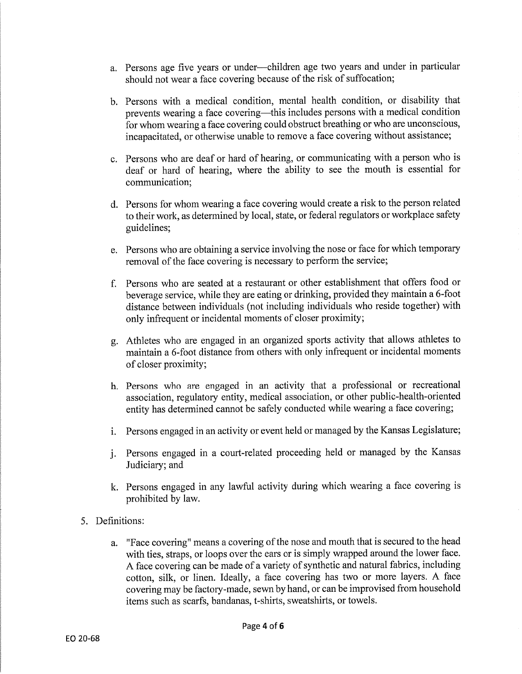- a. Persons age five years or under---children age two years and under in particular should not wear a face covering because of the risk of suffocation;
- b. Persons with a medical condition, mental health condition, or disability that prevents wearing a face covering—this includes persons with a medical condition for whom wearing a face covering could obstruct breathing or who are unconscious, incapacitated, or otherwise unable to remove a face covering without assistance;
- c. Persons who are deaf or hard of hearing, or communicating with a person who is deaf or hard of hearing, where the ability to see the mouth is essential for communication:
- d. Persons for whom wearing a face covering would create a risk to the person related to their work, as determined by local, state, or federal regulators or workplace safety guidelines:
- e. Persons who are obtaining a service involving the nose or face for which temporary removal of the face covering is necessary to perform the service:
- f. Persons who are seated at a restaurant or other establishment that offers food or beverage service, while they are eating or drinking, provided they maintain a 6-foot distance between individuals (not including individuals who reside together) with only infrequent or incidental moments of closer proximity;
- g. Athletes who are engaged in an organized sports activity that allows athletes to maintain a 6-foot distance from others with only infrequent or incidental moments of closer proximity;
- h. Persons who are engaged in an activity that a professional or recreational association, regulatory entity, medical association, or other public-health-oriented entity has determined cannot be safely conducted while wearing a face covering;
- i. Persons engaged in an activity or event held or managed by the Kansas Legislature;
- j. Persons engaged in a court-related proceeding held or managed by the Kansas Judiciary; and
- k. Persons engaged in any lawful activity during which wearing a face covering is prohibited by law.
- 5. Definitions:
	- a. "Face covering" means a covering of the nose and mouth that is secured to the head with ties, straps, or loops over the ears or is simply wrapped around the lower face. A face covering can be made of a variety of synthetic and natural fabrics, including cotton, silk, or linen. Ideally, a face covering has two or more layers. A face covering may be factory-made, sewn by hand, or can be improvised from household items such as scarfs, bandanas, t-shirts, sweatshirts, or towels.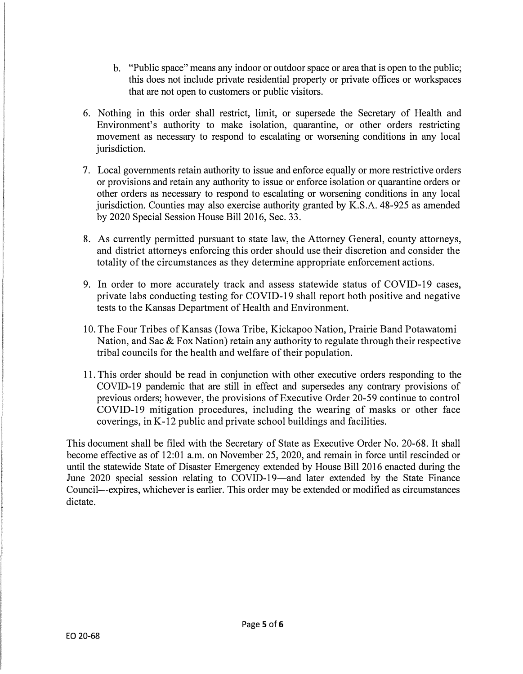- b. "Public space" means any indoor or outdoor space or area that is open to the public; this does not include private residential property or private offices or workspaces that are not open to customers or public visitors.
- 6. Nothing in this order shall restrict, limit, or supersede the Secretary of Health and Environment's authority to make isolation, quarantine, or other orders restricting movement as necessary to respond to escalating or worsening conditions in any local jurisdiction.
- 7. Local governments retain authority to issue and enforce equally or more restrictive orders or provisions and retain any authority to issue or enforce isolation or quarantine orders or other orders as necessary to respond to escalating or worsening conditions in any local jurisdiction. Counties may also exercise authority granted by K.S.A. 48-925 as amended by 2020 Special Session House Bill 2016, Sec. 33.
- 8. As currently permitted pursuant to state law, the Attorney General, county attorneys, and district attorneys enforcing this order should use their discretion and consider the totality of the circumstances as they determine appropriate enforcement actions.
- 9. In order to more accurately track and assess statewide status of COVID-19 cases, private labs conducting testing for COVID-19 shall report both positive and negative tests to the Kansas Department of Health and Environment.
- 10. The Four Tribes of Kansas (Iowa Tribe, Kickapoo Nation, Prairie Band Potawatomi Nation, and Sac & Fox Nation) retain any authority to regulate through their respective tribal councils for the health and welfare of their population.
- 11. This order should be read in conjunction with other executive orders responding to the COVID-19 pandemic that are still in effect and supersedes any contrary provisions of previous orders; however, the provisions of Executive Order 20-59 continue to control COVID-19 mitigation procedures, including the wearing of masks or other face coverings, in K-12 public and private school buildings and facilities.

This document shall be filed with the Secretary of State as Executive Order No. 20-68. It shall become effective as of 12:01 a.m. on November 25, 2020, and remain in force until rescinded or until the statewide State of Disaster Emergency extended by House Bill 2016 enacted during the June 2020 special session relating to COVID-19—and later extended by the State Finance Council--expires, whichever is earlier. This order may be extended or modified as circumstances dictate.